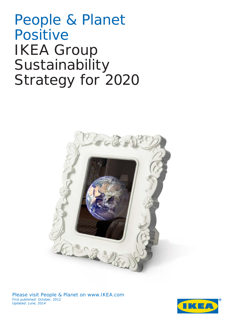People & Planet Positive IKEA Group Sustainability Strategy for 2020



Please visit People & Planet on [www.IKEA.com](http://www.ikea.com/) First published: October, 2012 Updated: June, 2014

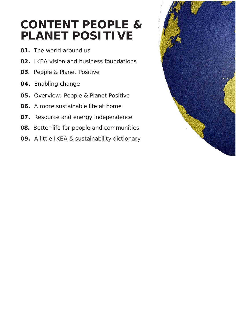# **CONTENT PEOPLE & PLANET POSITIVE**

- *01.* The world around us
- *02.* IKEA vision and business foundations
- *03*. People & Planet Positive
- *04.* Enabling change
- *05.* Overview: People & Planet Positive
- *06.* A more sustainable life at home
- *07.* Resource and energy independence
- **08.** Better life for people and communities
- *09.* A little IKEA & sustainability dictionary

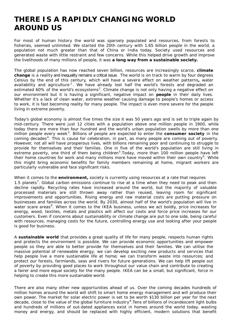## **THERE IS A RAPIDLY CHANGING WORLD AROUND US**

For most of human history the world was sparsely populated and resources, from forests to fisheries, seemed unlimited. We started the 20th century with 1.65 billion people in the world, a population not much greater than that of China or India today. Society used resources and generated waste with little restraint and few concerns. While this helped drive growth and improve the livelihoods of many millions of people, it was **a long way from a sustainable society.**

The global population has now reached seven billion, resources are increasingly scarce, **climate change** is a reality and inequality remains a critical issue. The world is on track to warm by four degrees Celsius by the end of this century, which will have a severe effect on weather patterns**,** water availability and agriculture<sup>[1](#page-19-0)</sup>. We have already lost half the world's forests and degraded an estimated 60% of the world's ecosystems<sup>[2](#page-19-1)</sup>. Climate change is not only having a negative effect on our environment but it is having a significant, negative impact on **people** in their daily lives. Whether it's a lack of clean water, extreme weather causing damage to people's homes or access to work, it is fast becoming reality for many people. The impact is even more severe for the people living in extreme poverty.

Today's global economy is almost five times the size it was 50 years ago and is set to triple again by mid-century. There were just 12 cities with a population above one million people in 1900, while today there are more than four hundred and the world's urban population swells by more than one million people every week<sup>[3](#page-19-2)</sup>. Billions of people are expected to enter the **consumer society** in the coming decades<sup>[4](#page-19-3)</sup>. This is cause for celebration, in part, as many people are coming out of poverty. However, not all will have prosperous lives, with billions remaining poor and continuing to struggle to provide for themselves and their families. One in five of the world's population are still living in extreme poverty, one third of them being children<sup>[5](#page-19-4)</sup>. Today, more than 100 million people have left their home countries for work and many millions more have moved within their own country<sup>[6](#page-19-5)</sup>. While this might bring economic benefits for family members remaining at home, migrant workers are particularly vulnerable and face significant risks.

When it comes to the **environment,** society is currently using resources at a rate that requires 1.5 planets<sup>[7](#page-19-6)</sup>. Global carbon emissions continue to rise at a time when they need to peak and then decline rapidly. Recycling rates have increased around the world, but the majority of valuable processed materials are still thrown away rather than reused, leaving room for significant improvements and opportunities. Rising energy and raw material costs are putting pressure on businesses and families across the world. By 2030, almost half of the world's population will live in water scare areas<sup>[8](#page-19-7)</sup>. When it comes to the IKEA business, unless we act boldly, price increases for energy, wood, textiles, metals and plastics will affect our costs and force price increases for our customers. Even if concerns about sustainability or climate change are put to one side, being careful with resources, managing costs for the future, controlling energy use and looking after your people is good for business.

A **sustainable world** that provides a great quality of life for many people, respects human rights and protects the environment is possible. We can provide economic opportunities and empower people so they are able to better provide for themselves and their families. We can utilise the massive potential of renewable energy; we can develop exciting new products and services that help people live a more sustainable life at home; we can transform waste into resources; and protect our forests, farmlands, seas and rivers for future generations. We can help lift people out of poverty by providing good places to work throughout our value chain and contribute to creating a fairer and more equal society for the many people. IKEA can be a small, but significant, force in helping to create this more sustainable world.

There are also many other new opportunities ahead of us. Over the coming decades hundreds of million homes around the world will shift to smart home energy management and will produce their own power. The market for solar electric power is set to be worth \$130 billion per year for the next decade, close to the value of the global furniture industry<sup>[9](#page-19-8)</sup>. Tens of billions of incandescent light bulbs and hundreds of millions of out-dated appliances exist in homes around the world today, wasting money and energy, and should be replaced with highly efficient, modern solutions that benefit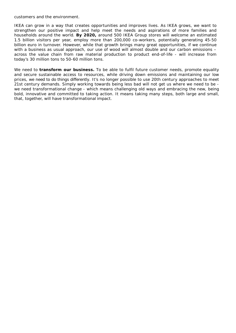customers and the environment.

IKEA can grow in a way that creates opportunities and improves lives. As IKEA grows, we want to strengthen our positive impact and help meet the needs and aspirations of more families and households around the world. **By 2020,** around 500 IKEA Group stores will welcome an estimated 1.5 billion visitors per year, employ more than 200,000 co-workers, potentially generating 45-50 billion euro in turnover. However, while that growth brings many great opportunities, if we continue with a business as usual approach, our use of wood will almost double and our carbon emissions across the value chain from raw material production to product end-of-life - will increase from today's 30 million tons to 50-60 million tons.

We need to **transform our business.** To be able to fulfil future customer needs, promote equality and secure sustainable access to resources, while driving down emissions and maintaining our low prices, we need to do things differently. It's no longer possible to use 20th century approaches to meet 21st century demands. Simply working towards being less bad will not get us where we need to be we need transformational change - which means challenging old ways and embracing the new, being bold, innovative and committed to taking action. It means taking many steps, both large and small, that, together, will have transformational impact.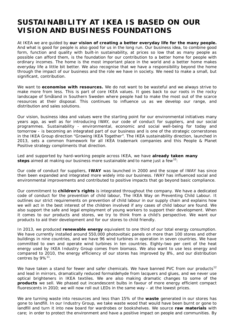## **SUSTAINABILITY AT IKEA IS BASED ON OUR VISION AND BUSINESS FOUNDATIONS**

At IKEA we are guided by **our vision of creating a better everyday life for the many people.** And what is good for people is also good for us in the long run. Our business idea, to combine good form, function and quality with built-in sustainability, at prices so low that as many people as possible can afford them, is the foundation for our contribution to a better home for people with ordinary incomes. The home is the most important place in the world and a better home makes everyday life a little bit better. We also recognise that we have a responsibility beyond the home through the impact of our business and the role we have in society. We need to make a small, but significant, contribution.

We want to **economise with resources.** We do not want to be wasteful and we always strive to make more from less. This is part of core IKEA values. It goes back to our roots in the rocky landscape of Småland in Southern Sweden where people had to make the most out of the scarce resources at their disposal. This continues to influence us as we develop our range, and distribution and sales solutions.

Our vision, business idea and values were the starting point for our environmental initiatives many years ago, as well as for introducing IWAY, our code of conduct for suppliers, and our social programmes. Sustainability - environmental, economic and social well-being for today and tomorrow - is becoming an integrated part of our business and is one of the strategic cornerstones in the IKEA Group direction "Growing IKEA Together". The IKEA sustainability direction, launched in 2013, sets a common framework for all IKEA trademark companies and this People & Planet Positive strategy compliments that direction.

Led and supported by hard-working people across IKEA, we have **already taken many steps** aimed at making our business more sustainable and to name just a few<sup>[10](#page-19-9)</sup>:

Our code of conduct for suppliers, **IWAY** was launched in 2000 and the scope of IWAY has since then been expanded and integrated more widely into our business. IWAY has influenced social and environmental improvements and contributed to positive impacts that go beyond basic compliance.

Our commitment to **children's rights** is integrated throughout the company. We have a dedicated code of conduct for the prevention of child labour, The IKEA Way on Preventing Child Labour. It outlines our strict requirements on prevention of child labour in our supply chain and explains how we will act in the best interest of the children involved if any cases of child labour are found. We also support the safe and legal employment of young workers to support their development. When it comes to our products and stores, we try to think from a child's perspective. We want our products to aid their development and for our stores to child friendly.

In 2013, we produced **renewable energy** equivalent to one third of our total energy consumption. We have currently installed around 550,000 photovoltaic panels on more than 100 stores and other buildings in nine countries, and we have 96 wind turbines in operation in seven countries. We have committed to own and operate wind turbines in ten countries. Eighty-two per cent of the heat energy used by IKEA Industry Group comes from biomass. We also want to use less energy and compared to 2010, the energy efficiency of our stores has improved by 8%, and our distribution centres by  $9\%^{11}$ .

We have taken a stand for fewer and safer chemicals. We have banned PVC from our products<sup>[12](#page-19-11)</sup> and lead in mirrors, dramatically reduced formaldehyde from lacquers and glues, and we never use optical brighteners in IKEA textiles. We are also making dramatic changes to some of the **products** we sell. We phased out incandescent bulbs in favour of more energy efficient compact fluorescents in 2010; we will now roll out LEDs in the same way – at the lowest prices.

We are turning waste into resources and less than 15% of the **waste** generated in our stores has gone to landfill. In our Industry Group, we take waste wood that would have been burnt or gone to landfill and turn it into new board for wardrobes or bookshelves. We source **raw materials** with care; in order to protect the environment and have a positive impact on people and communities. By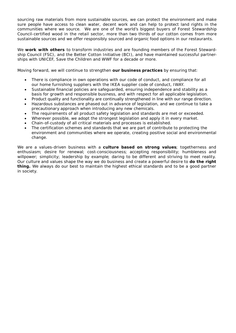sourcing raw materials from more sustainable sources, we can protect the environment and make sure people have access to clean water, decent work and can help to protect land rights in the communities where we source. We are one of the world's biggest buyers of Forest Stewardship Council-certified wood in the retail sector, more than two thirds of our cotton comes from more sustainable sources and we offer responsibly sourced and organic food options in our restaurants.

We **work with others** to transform industries and are founding members of the Forest Stewardship Council (FSC), and the Better Cotton Initiative (BCI), and have maintained successful partnerships with UNICEF, Save the Children and WWF for a decade or more.

Moving forward, we will continue to strengthen **our business practices** by ensuring that:

- There is compliance in own operations with our code of conduct, and compliance for all our home furnishing suppliers with the IKEA supplier code of conduct, IWAY.
- Sustainable financial policies are safeguarded, ensuring independence and stability as a basis for growth and responsible business, and with respect for all applicable legislation.
- Product quality and functionality are continually strengthened in line with our range direction.
- Hazardous substances are phased out in advance of legislation, and we continue to take a precautionary approach when introducing any new chemicals.
- The requirements of all product safety legislation and standards are met or exceeded.
- Wherever possible, we adopt the strongest legislation and apply it in every market.
- Chain-of-custody of all critical materials and processes is established.
- The certification schemes and standards that we are part of contribute to protecting the environment and communities where we operate, creating positive social and environmental change.

We are a values-driven business with a **culture based on strong values**; togetherness and enthusiasm; desire for renewal; cost-consciousness; accepting responsibility; humbleness and willpower; simplicity; leadership by example; daring to be different and striving to meet reality. Our culture and values shape the way we do business and create a powerful desire to **do the right thing.** We always do our best to maintain the highest ethical standards and to be a good partner in society.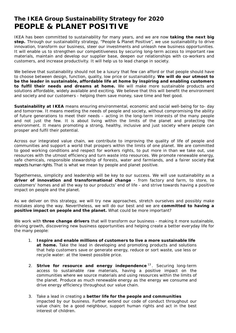### **The IKEA Group Sustainability Strategy for 2020 PEOPLE & PLANET POSITIVE**

IKEA has been committed to sustainability for many years, and we are now **taking the next big step.** Through our sustainability strategy, "People & Planet Positive", we use sustainability to drive innovation, transform our business, steer our investments and unleash new business opportunities. It will enable us to strengthen our competitiveness by securing long-term access to important raw materials, maintain and develop our supplier base, deepen our relationships with co-workers and customers, and increase productivity. It will help us to lead change in society.

We believe that sustainability should not be a luxury that few can afford or that people should have to choose between design, function, quality, low price or sustainability. **We will do our utmost to be the leader in sustainable, affordable life at home by inspiring and enabling customers to fulfil their needs and dreams at home.** We will make more sustainable products and solutions affordable, widely available and exciting. We believe that this will benefit the environment and society and our customers - helping them save money, save time and feel good.

**Sustainability at IKEA** means ensuring environmental, economic and social well-being for to- day and tomorrow. It means meeting the needs of people and society, without compromising the ability of future generations to meet their needs – acting in the long-term interests of the many people and not just the few. It is about living within the limits of the planet and protecting the environment. It means promoting a strong, healthy, inclusive and just society where people can prosper and fulfil their potential.

Across our integrated value chain, we contribute to improving the quality of life of people and communities and support a world that prospers within the limits of one planet. We are committed to good working conditions and respect for workers rights, to put more in than we take out, use resources with the utmost efficiency and turn waste into resources. We promote renewable energy, safe chemicals, responsible stewardship of forests, water and farmlands, and a fairer society that respects human rights. *That is what we mean by people and planet positive.*

Togetherness, simplicity and leadership will be key to our success. We will use sustainability as a **driver of innovation and transformational change** - from factory and farm, to store, to customers' homes and all the way to our products' end of life - and strive towards having a positive impact on people and the planet.

As we deliver on this strategy, we will try new approaches, stretch ourselves and possibly make mistakes along the way. Nevertheless, we will do our best and we are **committed to having a positive impact on people and the planet.** What could be more important?

We work with **three change drivers** that will transform our business - making it more sustainable, driving growth, discovering new business opportunities and helping create a better everyday life for the many people:

- 1. **Inspire and enable millions of customers to live a more sustainable life at home.** Take the lead in developing and promoting products and solutions that help customers save or generate energy, reduce or sort waste, use less or recycle water: at the lowest possible price.
- 2. **Strive for resource and energy independence** [13](#page-19-12) . Securing long-term access to sustainable raw materials, having a positive impact on the communities where we source materials and using resources within the limits of the planet. Produce as much renewable energy as the energy we consume and drive energy efficiency throughout our value chain.
- 3. Take a lead in creating a **better life for the people and communities** impacted by our business. Further extend our code of conduct throughout our value chain; be a good neighbour, support human rights and act in the best interest of children.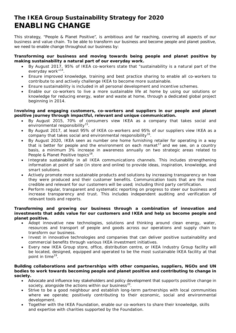### **The IKEA Group Sustainability Strategy for 2020 ENABLING CHANGE**

This strategy, "People & Planet Positive", is ambitious and far reaching, covering all aspects of our business and value chain. To be able to transform our business and become people and planet positive, we need to enable change throughout our business by:

#### **Transforming our business and moving towards being people and planet positive by making sustainability a natural part of our everyday work.**

- By August 2017, 95% of IKEA co-workers state that "sustainability is a natural part of the everyday work"<sup>[14](#page-19-13)</sup>.
- Ensure improved knowledge, training and best practice sharing to enable all co-workers to contribute to and actively challenge IKEA to become more sustainable.
- Ensure sustainability is included in all personal development and incentive schemes.
- Enable our co-workers to live a more sustainable life at home by using our solutions or knowledge for reducing energy, water and waste at home, through a dedicated global project beginning in 2014.

#### **Involving and engaging customers, co-workers and suppliers in our people and planet positive journey through impactful, relevant and unique communication.**

- By August 2015, 70% of consumers view IKEA as a company that takes social and environmental responsibility<sup>[15](#page-19-14)</sup>.
- By August 2017, at least 95% of IKEA co-workers and 95% of our suppliers view IKEA as a company that takes social and environmental responsibility<sup>[16](#page-19-15)</sup>.
- By August 2020, IKEA seen as number one home furnishing retailer for operating in a way that is better for people and the environment on each market<sup>[17](#page-19-16)</sup> and we see, on a country basis, a minimum 3% increase in awareness annually on two strategic areas related to People & Planet Positive topics<sup>[18](#page-19-17)</sup>.
- Integrate sustainability in all IKEA communications channels. This includes strengthening information at point of sale (in store and online) to provide ideas, inspiration, knowledge, and smart solutions.
- Actively promote more sustainable products and solutions by increasing transparency on how they were produced and their customer benefits. Communication tools that are the most credible and relevant for our customers will be used; including third party certification.
- Perform regular, transparent and systematic reporting on progress to steer our business and increase transparency and trust. This includes independent auditing and verification of relevant tools and reports.

#### **Transforming and growing our business through a combination of innovation and investments that adds value for our customers and IKEA and help us become people and planet positive.**

- Adopt innovative new technologies, solutions and thinking around clean energy, water, resources and transport of people and goods across our operations and supply chain to transform our business.
- Invest in innovative technologies and companies that can deliver positive sustainability and commercial benefits through various IKEA investment initiatives.
- Every new IKEA Group store, office, distribution centre, or IKEA Industry Group facility will be located, designed, equipped and operated to be the most sustainable IKEA facility at that point in time<sup>19</sup>.

#### **Building collaborations and partnerships with other companies, suppliers, NGOs and UN bodies to work towards becoming people and planet positive and contributing to change in society.**

- Advocate and influence key stakeholders and policy development that supports positive change in society, alongside the actions within our business<sup>[20](#page-19-19)</sup>.
- Strive to be a good neighbour and establish long-term partnerships with local communities where we operate; positively contributing to their economic, social and environmental development.
- Together with the IKEA Foundation, enable our co-workers to share their knowledge, skills and expertise with charities supported by the Foundation.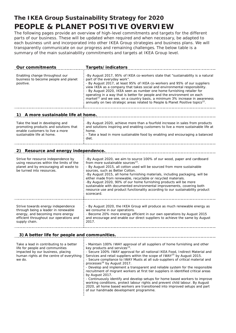## **The IKEA Group Sustainability Strategy for 2020 PEOPLE & PLANET POSITIVE OVERVIEW**

The following pages provide an overview of high-level commitments and targets for the different parts of our business. These will be updated when required and when necessary, be adapted to each business unit and incorporated into other IKEA Group strategies and business plans. We will transparently communicate on our progress and remaining challenges. The below table is a summary of the main sustainability commitments and targets at IKEA Group level.

| <b>Our commitments</b>                                                                                                                                                    | Targets/indicators                                                                                                                                                                                                                                                                                                                                                                                                                                                                                                                                                                                                                    |  |
|---------------------------------------------------------------------------------------------------------------------------------------------------------------------------|---------------------------------------------------------------------------------------------------------------------------------------------------------------------------------------------------------------------------------------------------------------------------------------------------------------------------------------------------------------------------------------------------------------------------------------------------------------------------------------------------------------------------------------------------------------------------------------------------------------------------------------|--|
| Enabling change throughout our<br>business to become people and planet<br>positive.                                                                                       | -By August 2017, 95% of IKEA co-workers state that "sustainability is a natural<br>part of the everyday work".<br>- By August 2017, at least 95% of IKEA co-workers and 95% of our suppliers<br>view IKEA as a company that takes social and environmental responsibility.<br>- By August 2020, IKEA seen as number one home furnishing retailer for<br>operating in a way that is better for people and the environment on each<br>market <sup>21</sup> and we see, on a country basis, a minimum 3% increase in awareness<br>annually on two strategic areas related to People & Planet Positive topics <sup>22</sup> .             |  |
| 1) A more sustainable life at home.                                                                                                                                       |                                                                                                                                                                                                                                                                                                                                                                                                                                                                                                                                                                                                                                       |  |
| Take the lead in developing and<br>promoting products and solutions that<br>enable customers to live a more<br>sustainable life at home.                                  | -By August 2020, achieve more than a fourfold increase in sales from products<br>and solutions inspiring and enabling customers to live a more sustainable life at<br>home.<br>- Take a lead in more sustainable food by enabling and encouraging a balanced<br>diet.                                                                                                                                                                                                                                                                                                                                                                 |  |
| 2) Resource and energy independence.                                                                                                                                      |                                                                                                                                                                                                                                                                                                                                                                                                                                                                                                                                                                                                                                       |  |
| Strive for resource independence by<br>using resources within the limits of the<br>planet and by encouraging all waste to<br>be turned into resources.                    | -By August 2020, we aim to source 100% of our wood, paper and cardboard<br>from more sustainable sources <sup>23</sup> .<br>- By August 2015, all cotton used will be sourced from more sustainable<br>sources, such as Better Cotton.<br>-By August 2015, all home furnishing materials, including packaging, will be<br>either made from renewable, recyclable or recycled materials.<br>-By August 2020, 90% of our home furnishing products will be more<br>sustainable with documented environmental improvements, covering both<br>resource use and product functionality according to our sustainability product<br>scorecard. |  |
| Strive towards energy independence<br>through being a leader in renewable<br>energy, and becoming more energy<br>efficient throughout our operations and<br>supply chain. | - By August 2020, the IKEA Group will produce as much renewable energy as<br>we consume in our operations.<br>- Become 20% more energy efficient in our own operations by August 2015<br>and encourage and enable our direct suppliers to achieve the same by August<br>2017.                                                                                                                                                                                                                                                                                                                                                         |  |
| 3) A better life for people and communities.                                                                                                                              |                                                                                                                                                                                                                                                                                                                                                                                                                                                                                                                                                                                                                                       |  |
| Take a lead in contributing to a better<br>life for people and communities                                                                                                | - Maintain 100% IWAY approval of all suppliers of home furnishing and other<br>key products and services <sup>24</sup> .                                                                                                                                                                                                                                                                                                                                                                                                                                                                                                              |  |

| Take a lead in continuumq to a better    | - Maintain TOO% TWAY approval of all suppliers or nome furnishing and other          |
|------------------------------------------|--------------------------------------------------------------------------------------|
| life for people and communities          | key products and services <sup>24</sup> .                                            |
| impacted by our business, placing        | - Secure 100% IWAY approval for all national IKEA Food, Indirect Material and        |
| human rights at the centre of everything | Services and retail suppliers within the scope of IWAY <sup>25</sup> by August 2015. |
| we do.                                   | - Secure compliance to IWAY Musts at all sub-suppliers of critical material and      |
|                                          | processes <sup>26</sup> by August 2017.                                              |
|                                          | - Develop and implement a transparent and reliable system for the responsible        |
|                                          | recruitment of migrant workers at first tier suppliers in identified critical areas  |
|                                          | by August 2017.                                                                      |
|                                          | - Continuously identify and develop setups for home based workers to improve         |
|                                          | working conditions, protect labour rights and prevent child labour. By August        |
|                                          | 2020, all home based workers are transitioned into improved setups and part          |
|                                          | of our handmade development programme.                                               |
|                                          |                                                                                      |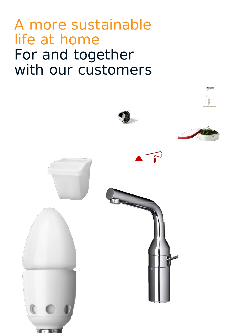# A more sustainable life at home For and together with our customers

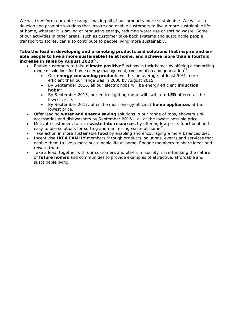We will transform our entire range, making all of our products more sustainable. We will also develop and promote solutions that inspire and enable customers to live a more sustainable life at home, whether it is saving or producing energy, reducing water use or sorting waste. Some of our activities in other areas, such as customer take-back systems and sustainable people transport to stores, can also contribute to people living more sustainably.

#### **Take the lead in developing and promoting products and solutions that inspire and enable people to live a more sustainable life at home, and achieve more than a fourfold increase in sales by August 2020**[27](#page-19-26) **.**

- Enable customers to take **climate positive** [28](#page-19-27) actions in their homes by offering a compelling range of solutions for home energy management, consumption and generation<sup>[29](#page-19-28)</sup>.
	- Our **energy consuming products** will be, on average, at least 50% more efficient than our range was in 2008 by August 2015.
	- By September 2016, all our electric hobs will be energy efficient **induction**  $h$ obs $30$ .
	- By September 2015, our entire lighting range will switch to **LED** offered at the lowest price.
	- By September 2017, offer the most energy efficient **home appliances** at the lowest price.
- Offer leading **water and energy saving** solutions in our range of taps, showers sink accessories and dishwashers by September 2016 – all at the lowest possible price.
- Motivate customers to turn **waste into resources** by offering low price, functional and easy to use solutions for sorting and minimising waste at home $^{31}$  $^{31}$  $^{31}$ .
- Take action in more sustainable **food** by enabling and encouraging a more balanced diet.
- Incentivise **IKEA FAMILY** members through products, solutions, events and services that enable them to live a more sustainable life at home. Engage members to share ideas and reward them.
- Take a lead, together with our customers and others in society, in re-thinking the nature of **future homes** and communities to provide examples of attractive, affordable and sustainable living.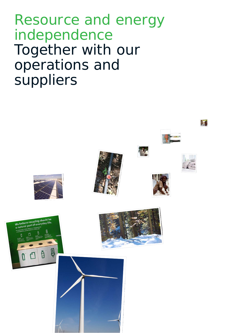Resource and energy independence Together with our operations and suppliers

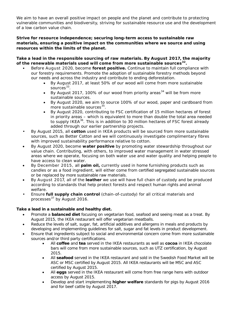We aim to have an overall positive impact on people and the planet and contribute to protecting vulnerable communities and biodiversity, striving for sustainable resource use and the development of a low carbon value chain.

#### **Strive for resource independence; securing long-term access to sustainable raw materials, ensuring a positive impact on the communities where we source and using resources within the limits of the planet.**

**Take a lead in the responsible sourcing of raw materials. By August 2017, the majority of the renewable materials used will come from more sustainable sources[32](#page-19-31) .**

- Before August 2020, become **forest positive.** Continue to maintain full compliance with our forestry requirements. Promote the adoption of sustainable forestry methods beyond our needs and across the industry and contribute to ending deforestation.
	- By August 2017, at least 50% of our wood will come from more sustainable sources<sup>[33](#page-19-32)</sup>.
	- By August 2017, 100% of our wood from priority areas<sup>[34](#page-19-33)</sup> will be from more sustainable sources.
	- By August 2020, we aim to source 100% of our wood, paper and cardboard from more sustainable sources<sup>[35](#page-19-34)</sup>.
	- By August 2020, contributing to FSC certification of 15 million hectares of forest in priority areas – which is equivalent to more than double the total area needed to supply IKEA<sup>[36](#page-19-35)</sup>. This is in addition to 30 million hectares of FSC forest already added through our earlier partnership projects.
- By August 2015, all **cotton** used in IKEA products will be sourced from more sustainable sources, such as Better Cotton and we will continuously investigate complimentary fibres with improved sustainability performance relative to cotton.
- By August 2020, become **water positive** by promoting water stewardship throughout our value chain. Contributing, with others, to improved water management in water stressed areas where we operate, focusing on both water use and water quality and helping people to have access to clean water.
- By December 2015, all **palm oil,** currently used in home furnishing products such as candles or as a food ingredient, will either come from certified segregated sustainable sources or be replaced by more sustainable raw materials.
- By August 2017, all of the **leather** we use will have full chain of custody and be produced according to standards that help protect forests and respect human rights and animal welfare.
- Ensure **full supply chain control** (chain-of-custody) for all critical materials and processes $^{37}$  $^{37}$  $^{37}$  by August 2016.

#### **Take a lead in a sustainable and healthy diet.**

- Promote a **balanced diet** focusing on vegetarian food, seafood and seeing meat as a treat. By August 2015, the IKEA restaurant will offer vegetarian meatballs.
- Reduce the levels of salt, sugar, fat, artificial additives and allergens in meals and products by developing and implementing guidelines for salt, sugar and fat levels in product development.
- Ensure that ingredients subject to social and environmental concern come from more sustainable sources and/or third party certifications.
	- All **coffee** and **tea** served in the IKEA restaurants as well as **cocoa** in IKEA chocolate bars will come from more sustainable sources, such as UTZ certification, by August 2015.
	- All **seafood** served in the IKEA restaurant and sold in the Swedish Food Market will be ASC or MSC certified by August 2015. All IKEA restaurants will be MSC and ASC certified by August 2015.
	- All **eggs** served in the IKEA restaurant will come from free range hens with outdoor access by August 2015.
	- Develop and start implementing **higher welfare** standards for pigs by August 2016 and for beef cattle by August 2017.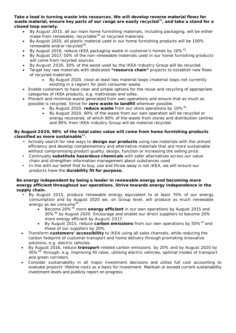**Take a lead in turning waste into resources. We will develop reverse material flows for waste material, ensure key parts of our range are easily recycled**[38](#page-19-37) **, and take a stand for a closed loop society.**

- By August 2015, all our main home furnishing materials, including packaging, will be either made from renewable, recyclable<sup>[39](#page-19-38)</sup> or recycled materials.
- By August 2020, all plastic material used in our home furnishing products will be 100% renewable and/or recycled [40](#page-19-39)
- renewable and/or recycled<sup>40</sup>.<br>• By August 2016, reduce IKEA packaging waste in customer's homes by 10%<sup>[41](#page-19-40)</sup>.
- By August 2017, 50% of the non-renewable materials used in our home furnishing products will come from recycled sources.
- By August 2020, 30% of the wood used by the IKEA Industry Group will be recycled.
- Target key raw materials with dedicated **"resource chain"** projects to establish new flows of recycled materials.
	- By August 2020, close at least two material loops (material loops not currently existing in a region) for post-consumer waste.
- Enable customers to have clear and simple options for the reuse and recycling of appropriate categories of IKEA products, e.g. mattresses and sofas.
- Prevent and minimise waste generated from own operations and ensure that as much as possible is recycled. Strive for **zero waste to landfill** wherever possible.
	- By August 2020, reduce waste from our store operations by 10%<sup>[42](#page-19-41)</sup>.
	- By August 2020, 90% of the waste from our own operation will be recycled or energy recovered, of which 80% of the waste from stores and distribution centres and 90% from IKEA Industry Group will be material recycled.

#### **By August 2020, 90% of the total sales value will come from home furnishing products classified as more sustainable**[43](#page-19-42) **.**

- Actively search for new ways to **design our products** using raw materials with the utmost efficiency and develop complementary and alternative materials that are more sustainable without compromising product quality, design, function or increasing the selling price.
- Continually **substitute hazardous chemicals** with safer alternatives across our value chain and strengthen information management about substances used.
- In line with our belief that to buy, use and throw away is not IKEA, we will ensure our products have the **durability fit for purpose.**

#### **Be energy independent by being a leader in renewable energy and becoming more energy efficient throughout our operations. Strive towards energy independence in the supply chain.**

- By August 2015, produce renewable energy equivalent to at least 70% of our energy consumption and by August 2020 we, on Group level, will produce as much renewable energy as we consume<sup>[44](#page-19-43)</sup>.
	- Become 20% [45](#page-19-44) more **energy efficient** in our own operations by August 2015 and 30%[46](#page-19-45) by August 2020. Encourage and enable our direct suppliers to become 20% more energy efficient by August 2017.
	- By August 2015, reduce **carbon emissions** from our own operations by 50% [47](#page-19-46) and those of our suppliers by 20%.
- Transform **customers' accessibility** to IKEA using all sales channels, while reducing the carbon footprint of customer transport and home delivery through promoting innovative solutions, e.g. electric vehicles.
- By August 2016, reduce **transport**-related carbon emissions by 20% and by August 2020 by 30%<sup>[48](#page-19-47)</sup> through, e.g. improving fill rates, utilising electric vehicles, optimal modes of transport and green corridors.
- Consider sustainability in all major investment decisions and utilise full cost accounting to evaluate projects' lifetime costs as a basis for investment. Maintain or exceed current sustainability investment levels and publicly report on progress.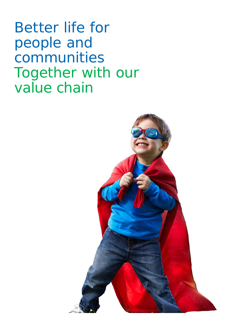Better life for people and communities Together with our value chain

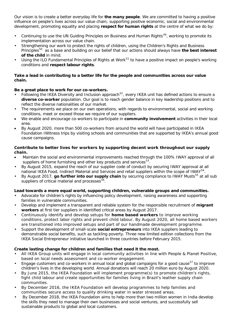Our vision is to create a better everyday life for **the many people**. We are committed to having a positive influence on people's lives across our value chain; supporting positive economic, social and environmental development, promoting equality and placing **respect for human rights** at the centre of what we do by:

- Continuing to use the UN Guiding Principles on Business and Human Rights<sup>[49](#page-19-48)</sup>, working to promote its implementation across our value chain.
- Strengthening our work to protect the rights of children, using the Children's Rights and Business Principles [50](#page-20-0) as a base and building on our belief that our actions should always have **the best interest of the child** in mind.
- Using the ILO Fundamental Principles of Rights at Work<sup>[51](#page-20-1)</sup> to have a positive impact on people's working conditions and **respect labour rights**.

#### **Take a lead in contributing to a better life for the people and communities across our value chain.**

#### **Be a great place to work for our co-workers.**

- Following the IKEA Diversity and Inclusion approach<sup>[52](#page-20-2)</sup>, every IKEA unit has defined actions to ensure a **diverse co-worker** population. Our goal is to reach gender balance in key leadership positions and to reflect the diverse nationalities of our market.
- The requirements we place on our own operations, with regards to environmental, social and working conditions, meet or exceed those we require of our suppliers.
- We enable and encourage co-workers to participate in **community involvement** activities in their local area.
- By August 2020, more than 500 co-workers from around the world will have participated in IKEA Foundation IWitness trips by visiting schools and communities that are supported by IKEA's annual good cause campaigns.

#### **Contribute to better lives for workers by supporting decent work throughout our supply chain.**

- Maintain the social and environmental improvements reached through the 100% IWAY approval of all suppliers of home furnishing and other key products and services<sup>[53](#page-20-3)</sup>.
- By August 2015, expand the reach of our supplier code of conduct by securing IWAY approval at all national IKEA Food, Indirect Material and Services and retail suppliers within the scope of IWAY<sup>[54](#page-20-4)</sup>.
- By August 2017, go further into our supply chain by securing compliance to IWAY Musts<sup>[55](#page-20-5)</sup> at all sub suppliers of critical material and processes<sup>56</sup>

#### **Lead towards a more equal world, supporting children, vulnerable groups and communities.**

- Advocate for children's rights by influencing policy development, raising awareness and supporting families in vulnerable communities.
- Develop and implement a transparent and reliable system for the responsible recruitment of **migrant workers** at first tier suppliers in identified critical areas by August 2017.
- Continuously identify and develop setups for **home based workers** to improve working conditions, protect labor rights and prevent child labour. By August 2020, all home based workers are transitioned into improved setups and part of our handmade development programme.
- Support the development of small-scale **social entrepreneurs** into IKEA suppliers leading to demonstrable social benefits, such as tackling poverty. Three new limited edition collections from the IKEA Social Entrepreneur initiative launched in three countries before February 2015.

#### **Create lasting change for children and families that need it the most.**

- All IKEA Group units will engage in local community activities in line with People & Planet Positive, based on local needs assessment and co-worker engagement.
- Engage customers and co-workers in annual local and global campaigns for a good cause<sup>[57](#page-20-7)</sup> to improve children's lives in the developing world. Annual donations will reach 20 million euro by August 2020.
- By June 2015, the IKEA Foundation will implement programme(s) to promote children's rights, fight child labour and create opportunities for families living in Brazil's leather supply chain communities.
- By December 2016, the IKEA Foundation will develop programmes to help families and communities secure access to quality drinking water in water stressed areas.
- By December 2018, the IKEA Foundation aims to help more than two million women in India develop the skills they need to manage their own businesses and social ventures, and successfully sell sustainable products to global and local customers.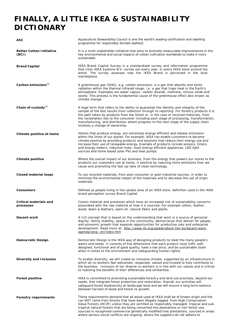## **FINALLY, A LITTLE IKEA & SUSTAINABILITY DICTIONARY**

| ASC                                        | Aquaculture Stewardship Council is one the world's leading certification and labelling<br>programme for responsibly farmed seafood.                                                                                                                                                                                                                                                                                                                                                                                                             |
|--------------------------------------------|-------------------------------------------------------------------------------------------------------------------------------------------------------------------------------------------------------------------------------------------------------------------------------------------------------------------------------------------------------------------------------------------------------------------------------------------------------------------------------------------------------------------------------------------------|
| <b>Better Cotton Initiative</b><br>(BCI)   | It is a multi-stakeholder initiative that aims to promote measurable improvements in the<br>key environmental and social impacts of cotton cultivation worldwide to make it more<br>sustainable.                                                                                                                                                                                                                                                                                                                                                |
| <b>Brand Capital</b>                       | IKEA Brand Capital Survey is a standardized survey and information programme<br>that Inter IKEA Systems B.V. carries out every year, in every IKEA store around the<br>world. The survey assesses how the IKEA Brand is perceived in the local<br>marketplace.                                                                                                                                                                                                                                                                                  |
| Carbon emissions <sup>58</sup>             | A greenhouse gas (GHG), e.g. carbon emissions, is a gas that absorbs and emits<br>radiation within the thermal infrared range, i.e. a gas that traps heat in the Earth's<br>atmosphere. Examples are water vapour, carbon dioxide, methane, nitrous oxide and<br>ozone. This process is the fundamental cause of the greenhouse effect also known as<br>climate change.                                                                                                                                                                         |
| Chain of custody <sup>59</sup>             | A legal term that refers to the ability to guarantee the identity and integrity of the<br>sample of the test results from collection through to reporting. For forestry products it is<br>the path taken by products from the forest or, in the case of recycled materials, from<br>the reclamation site to the consumer including each stage of processing, transformation,<br>manufacturing, and distribution where progress to the next stage of the supply chain<br>involves a change of ownership.                                         |
| Climate positive at home                   | Homes that produce energy, are extremely energy efficient and release emissions<br>within the limits of our planet. For example, IKEA can enable customers to become<br>climate positive by providing products and solutions that reduce their energy use and<br>increase their use of renewable energy. Example of products include sensors, timers<br>and energy meters, induction hobs, most energy efficient appliances, LED light<br>sources and home based solar PVs and heat pumps.                                                      |
| Climate positive                           | Where the overall impact of our business, from the energy that powers our stores to the<br>products our customers use at home, is positive by reducing more emissions than we<br>cause and promoting the fast up-take of clean technology.                                                                                                                                                                                                                                                                                                      |
| <b>Closed material loops</b>               | To use recycled materials, from post-consumer or post-industrial sources, in order to<br>minimise the environmental impact of the materials and to decrease the use of virgin<br>materials.                                                                                                                                                                                                                                                                                                                                                     |
| <b>Consumers</b>                           | Defined as people living in the uptake area of an IKEA store, definition used in the IKEA<br>brand perception survey Brand Capital.                                                                                                                                                                                                                                                                                                                                                                                                             |
| <b>Critical materials and</b><br>processes | Covers material and processes which have an increased risk of sustainability concerns<br>associated with the raw material or how it is sourced. For example cotton, leather,<br>wood, down & feathers, palm oil, natural fibers and plants.                                                                                                                                                                                                                                                                                                     |
| Decent work                                | A ILO concept that is based on the understanding that work is a source of personal<br>dignity, family stability, peace in the community, democracies that deliver for people,<br>and economic growth that expands opportunities for productive jobs and enterprise<br>development. Read more at: http://www.ilo.org/global/about-the-ilo/decent-work-<br>agenda/lang--en/index.htm                                                                                                                                                              |
| Democratic Design                          | Democratic Design is the IKEA way of designing products to meet the many people's<br>wants and needs. It consists of five dimensions that each product must fulfil; well-<br>designed, functional and of good quality, have a low price, and be sustainable (both<br>when it comes to the environment and safeguarding human rights).                                                                                                                                                                                                           |
| Diversity and Inclusion                    | To enable diversity, we will create an inclusive climate, supported by an infrastructure in<br>which all co-workers feel welcomed, respected, valued and trusted to fully contribute to<br>the business. Inclusion of our diverse co-workers is in line with our values and is critical<br>to realizing the benefits of their differences and similarities.                                                                                                                                                                                     |
| <b>Forest positive</b>                     | IKEA is committed to promoting sustainable forestry and land use practises, beyond our<br>needs, that integrate forest protection and restoration. Overall, our activities will<br>safeguard forest biodiversity at landscape level and we will ensure a long-term balance<br>between harvest of wood and forest re-growth.                                                                                                                                                                                                                     |
| <b>Forestry requirements</b>               | These requirements demand that all wood used at IKEA shall be of known origin and the<br>can NOT come from forests that have been illegally logged; from High Conservation<br>Value Forests (HCVF) unless they are certified as responsibly managed; tropical and sub-<br>tropical natural forests that are being converted into plantations or non-forest use;<br>sourced in recognised commercial genetically modified tree plantations; sourced in areas<br>where serious social conflicts are ongoing, where the suppliers do not adhere to |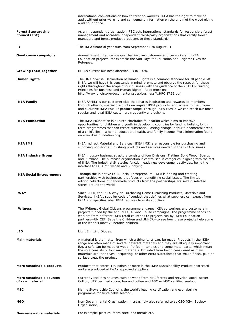|                                             | international conventions on how to treat co-workers. IKEA has the right to make an<br>audit without prior warning and can demand information on the origin of the wood giving<br>a 48 hour notice.                                                                                                                                                                                                                                                                                     |
|---------------------------------------------|-----------------------------------------------------------------------------------------------------------------------------------------------------------------------------------------------------------------------------------------------------------------------------------------------------------------------------------------------------------------------------------------------------------------------------------------------------------------------------------------|
| <b>Forest Stewardship</b><br>Council (FSC)  | As an independent organization, FSC sets international standards for responsible forest<br>management and accredits independent third-party organizations that certify forest<br>managers and forest product producers to these standards.                                                                                                                                                                                                                                              |
| FY                                          | The IKEA financial year runs from September 1 to August 31.                                                                                                                                                                                                                                                                                                                                                                                                                             |
| Good cause campaigns                        | Annual time-limited campaigns that involve customers and co-workers in IKEA<br>Foundation projects, for example the Soft Toys for Education and Brighter Lives for<br>Refugees.                                                                                                                                                                                                                                                                                                         |
| <b>Growing IKEA Together</b>                | IKEA's current business direction, FY10-FY20.                                                                                                                                                                                                                                                                                                                                                                                                                                           |
| Human rights                                | The UN Universal Declaration of Human Rights is a common standard for all people. At<br>IKEA, we will have this constantly in mind, promote and observe the respect for these<br>rights throughout the scope of our business with the guidance of the 2011 UN Guiding<br>Principles for Business and Human Rights. Read more on:<br>http://www.ohchr.org/documents/issues/business/A.HRC.17.31.pdf                                                                                      |
| <b>IKEA Family</b>                          | <b>IKEA FAMILY</b> is our customer club that shares inspiration and rewards its members<br>through offering special discounts on regular IKEA products, and access to the unique<br>and exclusive IKEA FAMILY product range. Through IKEA FAMILY we can reach our most<br>regular and loyal IKEA customers frequently and quickly.                                                                                                                                                      |
| <b>IKEA Foundation</b>                      | The IKEA Foundation is a Dutch charitable foundation which aims to improve<br>opportunities for children and youth in developing countries by funding holistic, long-<br>term programmes that can create substantial, lasting change in four fundamental areas<br>of a child's life — a home, education, health, and family income. More information found<br>on www.ikeafoundation.org                                                                                                 |
| <b>IKEA IMS</b>                             | IKEA Indirect Material and Services (IKEA IMS) are responsible for purchasing and<br>supplying non-home furnishing products and services needed in the IKEA business.                                                                                                                                                                                                                                                                                                                   |
| <b>IKEA Industry Group</b>                  | IKEA Industry business structure consists of four Divisions: Flatline, Solid Wood, Boards<br>and Purchase. The purchase organisation is centralised in categories, aligning with the rest<br>of IKEA. The Industrial Strategies function leads new development activities, being the<br>interface to IKEA of Sweden and Supplying.                                                                                                                                                      |
| <b>IKEA Social Entrepreneurs</b>            | Through the initiative IKEA Social Entrepreneurs, IKEA is finding and creating<br>partnerships with businesses that focus on benefitting social issues. The limited<br>edition collections of handmade products from the partnerships are sold in selected<br>stores around the world.                                                                                                                                                                                                  |
| <b>IWAY</b>                                 | Since 2000, the IKEA Way on Purchasing Home Furnishing Products, Materials and<br>Services. IKEA's supplier code of conduct that defines what suppliers can expect from<br>IKEA and specifies what IKEA requires from its suppliers.                                                                                                                                                                                                                                                    |
| <b>IWitness</b>                             | The IWitness Global Citizens programme engages IKEA co-workers and customers in<br>projects funded by the annual IKEA Good Cause campaigns. The programme sends co-<br>workers from different IKEA retail countries to projects run by IKEA Foundation<br>partners-UNICEF, Save the Children and UNHCR-to see how these projects help some<br>of the world's most vulnerable children.                                                                                                  |
| <b>LED</b>                                  | Light Emitting Diodes.                                                                                                                                                                                                                                                                                                                                                                                                                                                                  |
| <b>Main materials</b>                       | A material is the matter from which a thing is, or can, be made. Products in the IKEA<br>range are often made of several different materials and they are all equally important.<br>E.g. a sofa can be made of wood, PU foam, textiles and some metal parts, which mean<br>the sofa consists of four main materials. Excluded from being considered as main<br>materials are; additives, lacquering, or other extra substances that would finish, glue or<br>surface-treat the product. |
| More sustainable products                   | Products that scores 120 points or more in the IKEA Sustainability Product Scorecard<br>and are produced at IWAY approved suppliers.                                                                                                                                                                                                                                                                                                                                                    |
| More sustainable sources<br>of raw material | Currently includes sources such as wood from FSC forests and recycled wood, Better<br>Cotton, UTZ certified cocoa, tea and coffee and ASC or MSC certified seafood.                                                                                                                                                                                                                                                                                                                     |
| MSC                                         | Marine Stewardship Council is the world's leading certification and eco-labelling<br>programme for sustainable seafood.                                                                                                                                                                                                                                                                                                                                                                 |
| NGO                                         | Non-Governmental Organisation, increasingly also referred to as CSO (Civil Society<br>Organisation).                                                                                                                                                                                                                                                                                                                                                                                    |
| Non-renewable materials                     | For example; plastics, foam, steel and metals etc.                                                                                                                                                                                                                                                                                                                                                                                                                                      |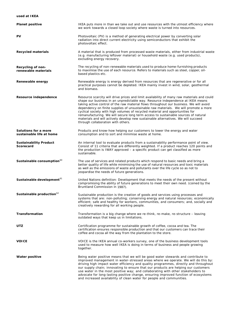#### **used at IKEA**

| <b>Planet positive</b>                           | IKEA puts more in than we take out and use resources with the utmost efficiency where<br>we work towards a closed loop society where waste is turned into resources.                                                                                                                                                                                                                                                                                                                                                                                                                                                                                              |
|--------------------------------------------------|-------------------------------------------------------------------------------------------------------------------------------------------------------------------------------------------------------------------------------------------------------------------------------------------------------------------------------------------------------------------------------------------------------------------------------------------------------------------------------------------------------------------------------------------------------------------------------------------------------------------------------------------------------------------|
| PV                                               | Photovoltaic (PV) is a method of generating electrical power by converting solar<br>radiation into direct current electricity using semiconductors that exhibit the<br>photovoltaic effect.                                                                                                                                                                                                                                                                                                                                                                                                                                                                       |
| <b>Recycled materials</b>                        | A material that is produced from processed waste materials, either from industrial waste<br>(e.g. manufacturing leftover material) or household waste (e.g. used products),<br>excluding energy recovery.                                                                                                                                                                                                                                                                                                                                                                                                                                                         |
| Recycling of non-<br>renewable materials         | The recycling of non-renewable materials used to produce home-furnishing products<br>to maximise the use of each resource. Refers to materials such as steel, copper, oil-<br>based plastics etc.                                                                                                                                                                                                                                                                                                                                                                                                                                                                 |
| Renewable energy                                 | Renewable energy is energy derived from resources that are regenerative or for all<br>practical purposes cannot be depleted. IKEA mainly invest in wind, solar, geothermal<br>and biomass.                                                                                                                                                                                                                                                                                                                                                                                                                                                                        |
| Resource independence                            | Resource scarcity will drive prices and limit availability of many raw materials and could<br>shape our business in an unpredictable way. Resource independence at IKEA means<br>taking active control of the raw material flows throughout our business. We will avoid<br>dependency on finite supplies of unsustainable raw materials. We will promote a more<br>cyclical society with high volumes of recycled material and opportunities for<br>remanufacturing. We will secure long term access to sustainable sources of natural<br>materials and will actively develop new sustainable alternatives. We will succeed<br>through collaboration with others. |
| Solutions for a more<br>sustainable life at home | Products and know-how helping our customers to lower the energy and water<br>consumption and to sort and minimise waste at home.                                                                                                                                                                                                                                                                                                                                                                                                                                                                                                                                  |
| <b>Sustainability Product</b><br>Scorecard       | An internal tool to evaluate products from a sustainability performance point of view.<br>Consist of 11 criteria that are differently weighted. If a product reaches 120 points and<br>the production is IWAY approved - a specific product can get classified as more<br>sustainable.                                                                                                                                                                                                                                                                                                                                                                            |
| Sustainable consumption <sup>60</sup>            | The use of services and related products which respond to basic needs and bring a<br>better quality of life while minimising the use of natural resources and toxic materials<br>as well as the emissions of waste and pollutants over the life cycle so as not to<br>jeopardise the needs of future generations.                                                                                                                                                                                                                                                                                                                                                 |
| Sustainable development <sup>61</sup>            | United Nations definition: Development that meets the needs of the present without<br>compromising the ability of future generations to meet their own need. (coined by the<br>Bruntland Commission in 1987).                                                                                                                                                                                                                                                                                                                                                                                                                                                     |
| Sustainable production <sup>62</sup>             | Sustainable production is the creation of goods and services using processes and<br>systems that are: non-polluting; conserving energy and natural resources; economically<br>efficient; safe and healthy for workers, communities, and consumers; and, socially and<br>creatively rewarding for all working people.                                                                                                                                                                                                                                                                                                                                              |
| <b>Transformation</b>                            | Transformation is a big change where we re-think, re-make, re-structure - leaving<br>outdated ways that keep us in limitations.                                                                                                                                                                                                                                                                                                                                                                                                                                                                                                                                   |
| UTZ                                              | Certification programme for sustainable growth of coffee, cocoa and tea. The<br>certification ensures responsible production and that our customers can trace their<br>coffee and cocoa all the way from the plantation to the store.                                                                                                                                                                                                                                                                                                                                                                                                                             |
| <b>VOICE</b>                                     | VOICE is the IKEA annual co-workers survey, one of the business development tools<br>used to measure how well IKEA is doing in terms of business and people growing<br>together.                                                                                                                                                                                                                                                                                                                                                                                                                                                                                  |
| <b>Water positive</b>                            | Being water positive means that we will be good water stewards and contribute to<br>improved management in water-stressed areas where we operate. We will do this by:<br>driving high impact water efficiency and quality programmes, directly and throughout<br>our supply chain; innovating to ensure that our products are helping our customers<br>use water in the most positive way; and collaborating with other stakeholders to<br>advocate for long-lasting positive change, ensuring improved function of ecosystems                                                                                                                                    |

and increased availability of clean water for people and communities.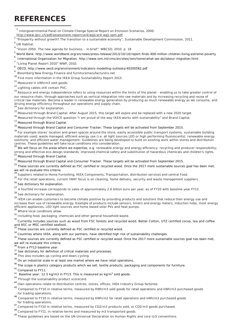## **REFERENCES**

<span id="page-19-0"></span><sup>1</sup> Intergovernmental Panel on Climate Change Special Report on Emission Scenarios, 2000.<br>http://www.ipcc.ch/pdf/assessment-report/ar4/wg1/ar4-wg1-spm.pdf<br><sup>2</sup> "Dream ii.

<http://www.ipcc.ch/pdf/assessment-report/ar4/wg1/ar4-wg1-spm.pdf> <sup>2</sup> "Prosperity without growth? The transition to a sustainable economy", Sustainable Development Commission, 2011.

<span id="page-19-2"></span><span id="page-19-1"></span><sup>3</sup> UN Habitat,

- <span id="page-19-3"></span><sup>4</sup> "Vision 2050: The new agenda for business – in brief". WBCSD, 2010. p. 18
- <span id="page-19-4"></span>5<br>6 World Bank. http://www.worldbank.org/en/news/press-release/2013/10/10/report-finds-400-million-children-living-extreme-poverty<br>6 Judass etimol Quessiadion for Missolics, latter (foress-release/an/side finalism (hand fo
- <span id="page-19-5"></span><sup>6</sup> International Organization for Migration. http://www.iom.int/cms/en/sites/iom/home/what-we-do/labour-migration.html
- <span id="page-19-6"></span><sup>7</sup> "Living Planet Report 2010" WWF, 2010.
- <span id="page-19-7"></span>8 OECD. http://www.oecd.org/environment/indicators-modelling-outlooks/40200582.pdf

<span id="page-19-8"></span>9 Bloomberg New Energy Finance and furnituremanufacturers.net

<span id="page-19-9"></span><sup>10</sup> Find more information in the IKEA Group Sustainability Report 2013.

<span id="page-19-10"></span><sup>11</sup> Measured in kWh/m3 sold goods.

<span id="page-19-11"></span><sup>12</sup> Lighting cables still contain PVC.

<span id="page-19-12"></span><sup>13</sup> Resource and energy independence refers to using resources within the limits of the planet - enabling us to take greater control of our resource chain, through approaches such as vertical integration into raw materials and by increasing recycling and reuse of critical raw materials. Become a leader in renewable energy generation by producing as much renewable energy as we consume, and driving energy efficiency throughout our operations and supply chain. <sup>14</sup> See dictionary for explanation.

<span id="page-19-14"></span><span id="page-19-13"></span><sup>15</sup> Measured through Brand Capital. After August 2015, this target will expire and be replaced with a new 2020 target.

<span id="page-19-15"></span><sup>16</sup> Measured through the VOICE question "I am proud of the way IKEA works with sustainability" and Brand Capital.

<span id="page-19-16"></span>17 Measured through Brand Capital.

<span id="page-19-17"></span><sup>18</sup> Measured through Brand Capital and Consumer Tracker. These targets will be activated from September 2015.

<span id="page-19-18"></span><sup>19</sup> For example stores' location and green spaces around the store; easily accessible public transport systems; sustainable building materials used; waste managed; efficient energy use (i.e. all light sources LED or high performing fluorescents); renewable energy solutions; and efficient water management. Guidelines are being developed to build on existing work within stores and distribution<br>centres. These guidelines will take local conditions into consideration.<br><sup>20</sup> Mo will facus

<span id="page-19-19"></span>We will focus on the areas where we expertise, e.g. renewable energy and energy efficiency; recycling and producer responsibility; strong and effective eco-design standards; improved chemical safety and substitution of hazardous chemicals and children's rights.<br><sup>21</sup> Measured through Brand Capital.

<span id="page-19-21"></span><span id="page-19-20"></span>22 Measured through Brand Capital and Consumer Tracker. These targets will be activated from September 2015.

<span id="page-19-22"></span><sup>23</sup> These sources are currently defined as FSC certified or recycled wood. Once the 2017 more sustainable sources goal has been met,

we will re-evaluate this criteria.<br><sup>24</sup> Suppliers related to Home Furnishing, IKEA Components, Transportation, distribution services and central Food.

<span id="page-19-24"></span><span id="page-19-23"></span><sup>25</sup> For the retail operations, current IWAY focus is on cleaning, home delivery, security and waste management suppliers.

<span id="page-19-25"></span><sup>26</sup> See dictionary for explanation.

<span id="page-19-26"></span><sup>27</sup> A fourfold increase corresponds to sales of approximately 2.6 billion euro per year, as of FY20 with baseline year FY13.

<span id="page-19-27"></span>28 See dictionary for explanation.

<span id="page-19-28"></span><sup>29</sup> IKEA can enable customers to become climate positive by providing products and solutions that reduce their energy use and increase their use of renewable energy. Example of products include sensors, timers and energy meters, induction hobs, most energy efficient appliances, LED light sources and home based solar PVs and heat pumps.<br><sup>30</sup> Where local conditions allow.

<span id="page-19-30"></span><span id="page-19-29"></span>31 Including food, packaging, chemicals and other general household waste.

<span id="page-19-31"></span>32 Currently includes sources such as wood from FSC forests and recycled wood, Better Cotton, UTZ certified cocoa, tea and coffee

and ASC or MSC certified seafood.<br><sup>33</sup> These sources are currently defined as FSC certified or recycled wood.

<span id="page-19-33"></span><span id="page-19-32"></span><sup>34</sup> Countries where IKEA, along with our partners, have identified high risk of sustainability challenges.

<span id="page-19-34"></span><sup>35</sup> These sources are currently defined as FSC certified or recycled wood. Once the 2017 more sustainable sources goal has been met, we will re-evaluate this criteria.<br>
<sup>36</sup> From a FY13 baseline year.<br>
<sup>37</sup> See dictionary for definition of critical materials and processes.

<span id="page-19-35"></span>

- <span id="page-19-37"></span><span id="page-19-36"></span>38 This also includes up-cycling and down-cycling.
- <span id="page-19-38"></span> $39$  On an industrial scale in at least one market where we have retail operations.

<span id="page-19-39"></span> $40$  The scope is plastics category products which we sell, textile products, packaging and components for furniture.

<span id="page-19-40"></span><sup>41</sup> Compared to FY11.

- <span id="page-19-41"></span> $42$  Baseline year: 12.5 kg/m3 in FY13. This is measured as kg/m<sup>3</sup> sold goods.
- <span id="page-19-42"></span>43 Through the sustainability product scorecard.

- <span id="page-19-44"></span><sup>45</sup> Compared to FY10 in relative terms, measured by KWh/m3 sold goods for retail operations and kWh/m3 purchased goods for trading operations.<br><sup>46</sup> Compared to FY10 in relative terms, measured by KWh/m2 for retail operations and kWh/m3 purchased goods
- <span id="page-19-45"></span>for trading operations.<br><sup>47</sup> Compared to FY10 in relative terms, measured by CO2/m3 products sold, or CO2/m3 goods purchased.<br><sup>48</sup> 0
- <span id="page-19-46"></span>
- <span id="page-19-47"></span>Compared to FY11, in relative terms and measured by m3 transported goods.
- <span id="page-19-48"></span><sup>49</sup> These guidelines are based on the UN Universal Declaration on Human Rights and core ILO conventions.

<span id="page-19-43"></span><sup>44</sup> Own operations relate to distribution centres, stores, offices, IKEA Industry Group factories.